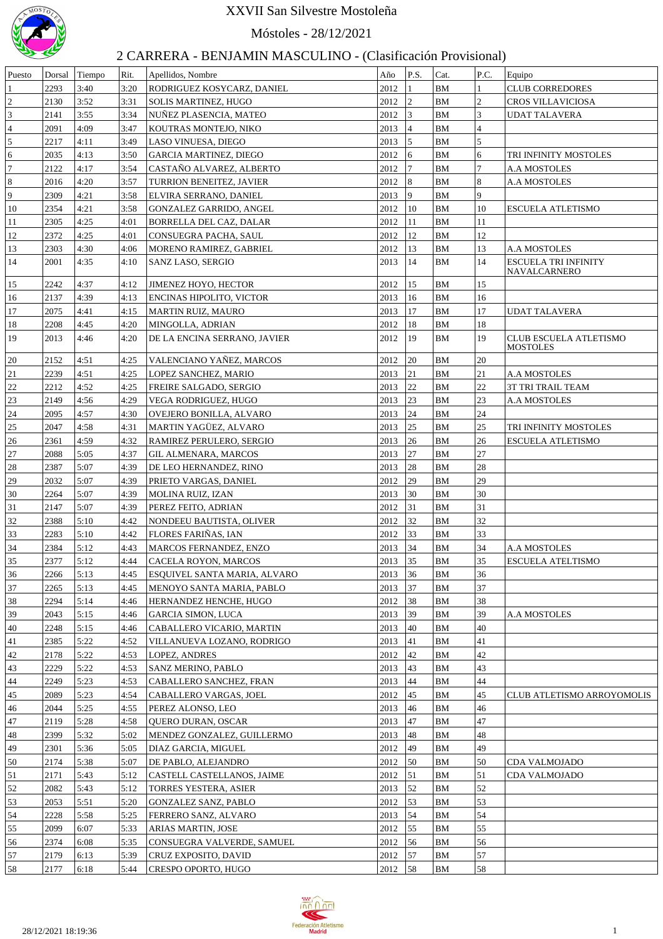

## XXVII San Silvestre Mostoleña

Móstoles - 28/12/2021

## 2 CARRERA - BENJAMIN MASCULINO - (Clasificación Provisional)

| Puesto                  | Dorsal | Tiempo | Rit. | Apellidos, Nombre               | Año         | P.S.            | Cat.      | P.C.           | Equipo                                      |
|-------------------------|--------|--------|------|---------------------------------|-------------|-----------------|-----------|----------------|---------------------------------------------|
| 1                       | 2293   | 3:40   | 3:20 | RODRIGUEZ KOSYCARZ, DANIEL      | 2012        | $\mathbf{1}$    | <b>BM</b> |                | <b>CLUB CORREDORES</b>                      |
| $\overline{c}$          | 2130   | 3:52   | 3:31 | <b>SOLIS MARTINEZ, HUGO</b>     | 2012        | $ 2\rangle$     | <b>BM</b> | $\overline{2}$ | <b>CROS VILLAVICIOSA</b>                    |
| $\overline{\mathbf{3}}$ | 2141   | 3:55   | 3:34 | NUÑEZ PLASENCIA, MATEO          | 2012        | 3               | <b>BM</b> | $\overline{3}$ | <b>UDAT TALAVERA</b>                        |
| $\overline{4}$          | 2091   | 4:09   | 3:47 | KOUTRAS MONTEJO, NIKO           | 2013        | 4               | <b>BM</b> | $\overline{4}$ |                                             |
| $\overline{5}$          | 2217   | 4:11   | 3:49 | LASO VINUESA, DIEGO             | 2013        | 5               | <b>BM</b> | 5              |                                             |
| 6                       | 2035   | 4:13   | 3:50 | <b>GARCIA MARTINEZ, DIEGO</b>   | 2012        | 6               | <b>BM</b> | 6              | TRI INFINITY MOSTOLES                       |
| 7                       | 2122   | 4:17   | 3:54 | CASTAÑO ALVAREZ, ALBERTO        | 2012        | 17              | <b>BM</b> | $\overline{7}$ | <b>A.A MOSTOLES</b>                         |
| 8                       | 2016   | 4:20   | 3:57 | TURRION BENEITEZ, JAVIER        | 2012        | 8               | <b>BM</b> | $\overline{8}$ | <b>A.A MOSTOLES</b>                         |
| 9                       | 2309   | 4:21   | 3:58 | ELVIRA SERRANO, DANIEL          | 2013        | 9               | <b>BM</b> | 9              |                                             |
| 10                      | 2354   | 4:21   | 3:58 | GONZALEZ GARRIDO, ANGEL         | 2012        | $ 10\rangle$    | <b>BM</b> | 10             | ESCUELA ATLETISMO                           |
| 11                      | 2305   | 4:25   | 4:01 | BORRELLA DEL CAZ, DALAR         | 2012        | 11              | <b>BM</b> | 11             |                                             |
| 12                      | 2372   | 4:25   | 4:01 | CONSUEGRA PACHA, SAUL           | 2012        | <sup>12</sup>   | <b>BM</b> | 12             |                                             |
| 13                      | 2303   | 4:30   | 4:06 | MORENO RAMIREZ, GABRIEL         | 2012        | <sup>13</sup>   | <b>BM</b> | 13             | <b>A.A MOSTOLES</b>                         |
| 14                      | 2001   | 4:35   | 4:10 | <b>SANZ LASO, SERGIO</b>        | 2013        | 14              | <b>BM</b> | 14             | <b>ESCUELA TRI INFINITY</b><br>NAVALCARNERO |
| 15                      | 2242   | 4:37   | 4:12 | <b>JIMENEZ HOYO, HECTOR</b>     | 2012        | 15              | <b>BM</b> | 15             |                                             |
| 16                      | 2137   | 4:39   | 4:13 | <b>ENCINAS HIPOLITO, VICTOR</b> | 2013        | 16              | <b>BM</b> | 16             |                                             |
| 17                      | 2075   | 4:41   | 4:15 | <b>MARTIN RUIZ, MAURO</b>       | 2013        | 17              | <b>BM</b> | 17             | <b>UDAT TALAVERA</b>                        |
| 18                      | 2208   | 4:45   | 4:20 | MINGOLLA, ADRIAN                | 2012        | 18              | <b>BM</b> | 18             |                                             |
| 19                      | 2013   | 4:46   | 4:20 | DE LA ENCINA SERRANO, JAVIER    | 2012        | 19              | BM        | 19             | CLUB ESCUELA ATLETISMO<br><b>MOSTOLES</b>   |
| 20                      | 2152   | 4:51   | 4:25 | VALENCIANO YAÑEZ, MARCOS        | 2012        | 20              | <b>BM</b> | 20             |                                             |
| 21                      | 2239   | 4:51   | 4:25 | LOPEZ SANCHEZ, MARIO            | 2013        | 21              | <b>BM</b> | 21             | <b>A.A MOSTOLES</b>                         |
| 22                      | 2212   | 4:52   | 4:25 | FREIRE SALGADO, SERGIO          | 2013        | 22              | <b>BM</b> | 22             | <b>3T TRI TRAIL TEAM</b>                    |
| 23                      | 2149   | 4:56   | 4:29 | VEGA RODRIGUEZ, HUGO            | 2013        | $ 23\rangle$    | <b>BM</b> | 23             | <b>A.A MOSTOLES</b>                         |
| 24                      | 2095   | 4:57   | 4:30 | OVEJERO BONILLA, ALVARO         | 2013        | 24              | <b>BM</b> | 24             |                                             |
| 25                      | 2047   | 4:58   | 4:31 | MARTIN YAGÜEZ, ALVARO           | 2013        | 25              | <b>BM</b> | 25             | TRI INFINITY MOSTOLES                       |
| 26                      | 2361   | 4:59   | 4:32 | RAMIREZ PERULERO, SERGIO        | 2013        | 26              | <b>BM</b> | 26             | <b>ESCUELA ATLETISMO</b>                    |
| 27                      | 2088   | 5:05   | 4:37 | <b>GIL ALMENARA, MARCOS</b>     | 2013        | 27              | <b>BM</b> | 27             |                                             |
| 28                      | 2387   | 5:07   | 4:39 | DE LEO HERNANDEZ, RINO          | 2013        | 28              | <b>BM</b> | 28             |                                             |
| 29                      | 2032   | 5:07   | 4:39 | PRIETO VARGAS, DANIEL           | 2012        | 29              | <b>BM</b> | 29             |                                             |
| 30                      | 2264   | 5:07   | 4:39 | MOLINA RUIZ, IZAN               | 2013        | 30              | <b>BM</b> | 30             |                                             |
| 31                      | 2147   | 5:07   | 4:39 | PEREZ FEITO, ADRIAN             | 2012        | 31              | <b>BM</b> | 31             |                                             |
| 32                      | 2388   | 5:10   | 4:42 | NONDEEU BAUTISTA, OLIVER        | 2012        | 32              | <b>BM</b> | 32             |                                             |
| 33                      | 2283   | 5:10   | 4:42 | FLORES FARIÑAS, IAN             | 2012        | 33              | <b>BM</b> | 33             |                                             |
| 34                      | 2384   | 5:12   | 4:43 | MARCOS FERNANDEZ, ENZO          | 2013        | 34              | <b>BM</b> | 34             | <b>A.A MOSTOLES</b>                         |
| 35                      | 2377   | 5:12   | 4:44 | CACELA ROYON, MARCOS            | 2013        | $\frac{135}{2}$ | <b>BM</b> | 35             | <b>ESCUELA ATELTISMO</b>                    |
| 36                      | 2266   | 5:13   | 4:45 | ESQUIVEL SANTA MARIA, ALVARO    | 2013        | 36              | <b>BM</b> | 36             |                                             |
| 37                      | 2265   | 5:13   | 4:45 | MENOYO SANTA MARIA, PABLO       | 2013        | 37              | <b>BM</b> | 37             |                                             |
| 38                      | 2294   | 5:14   | 4:46 | HERNANDEZ HENCHE, HUGO          | 2012        | 38              | <b>BM</b> | 38             |                                             |
| 39                      | 2043   | 5:15   | 4:46 | <b>GARCIA SIMON, LUCA</b>       | 2013        | 39              | <b>BM</b> | 39             | <b>A.A MOSTOLES</b>                         |
| 40                      | 2248   | 5:15   | 4:46 | CABALLERO VICARIO, MARTIN       | 2013        | 40              | <b>BM</b> | 40             |                                             |
| 41                      | 2385   | 5:22   | 4:52 | VILLANUEVA LOZANO, RODRIGO      | 2013        | 41              | <b>BM</b> | 41             |                                             |
| 42                      | 2178   | 5:22   | 4:53 | LOPEZ, ANDRES                   | 2012        | 42              | <b>BM</b> | 42             |                                             |
| 43                      | 2229   | 5:22   | 4:53 | <b>SANZ MERINO, PABLO</b>       | 2013        | 43              | <b>BM</b> | 43             |                                             |
| 44                      | 2249   | 5:23   | 4:53 | CABALLERO SANCHEZ, FRAN         | 2013        | 44              | <b>BM</b> | 44             |                                             |
| 45                      | 2089   | 5:23   | 4:54 | CABALLERO VARGAS, JOEL          | 2012        | 45              | <b>BM</b> | 45             | CLUB ATLETISMO ARROYOMOLIS                  |
| 46                      | 2044   | 5:25   | 4:55 | PEREZ ALONSO, LEO               | 2013        | 46              | <b>BM</b> | 46             |                                             |
| 47                      | 2119   | 5:28   | 4:58 | <b>QUERO DURAN, OSCAR</b>       | 2013        | 47              | <b>BM</b> | 47             |                                             |
| 48                      | 2399   | 5:32   | 5:02 | MENDEZ GONZALEZ, GUILLERMO      | 2013        | 48              | <b>BM</b> | 48             |                                             |
| 49                      | 2301   | 5:36   | 5:05 | DIAZ GARCIA, MIGUEL             | 2012        | 49              | <b>BM</b> | 49             |                                             |
| 50                      | 2174   | 5:38   | 5:07 | DE PABLO, ALEJANDRO             | 2012        | 50              | <b>BM</b> | 50             | CDA VALMOJADO                               |
| 51                      | 2171   | 5:43   | 5:12 | CASTELL CASTELLANOS, JAIME      | 2012        | 51              | <b>BM</b> | 51             | CDA VALMOJADO                               |
| 52                      | 2082   | 5:43   | 5:12 | <b>TORRES YESTERA, ASIER</b>    | 2013        | 52              | <b>BM</b> | 52             |                                             |
| 53                      | 2053   | 5:51   | 5:20 | <b>GONZALEZ SANZ, PABLO</b>     | 2012        | 53              | <b>BM</b> | 53             |                                             |
| 54                      | 2228   | 5:58   | 5:25 | FERRERO SANZ, ALVARO            | 2013        | 54              | <b>BM</b> | 54             |                                             |
| 55                      | 2099   | 6:07   | 5:33 | ARIAS MARTIN, JOSE              | 2012        | 55              | <b>BM</b> | 55             |                                             |
| 56                      | 2374   | 6:08   | 5:35 | CONSUEGRA VALVERDE, SAMUEL      | 2012        | 56              | <b>BM</b> | 56             |                                             |
| 57                      | 2179   | 6:13   | 5:39 | CRUZ EXPOSITO, DAVID            | 2012        | 57              | <b>BM</b> | 57             |                                             |
| 58                      | 2177   | 6:18   | 5:44 | CRESPO OPORTO, HUGO             | $2012$   58 |                 | <b>BM</b> | 58             |                                             |
|                         |        |        |      |                                 |             |                 |           |                |                                             |